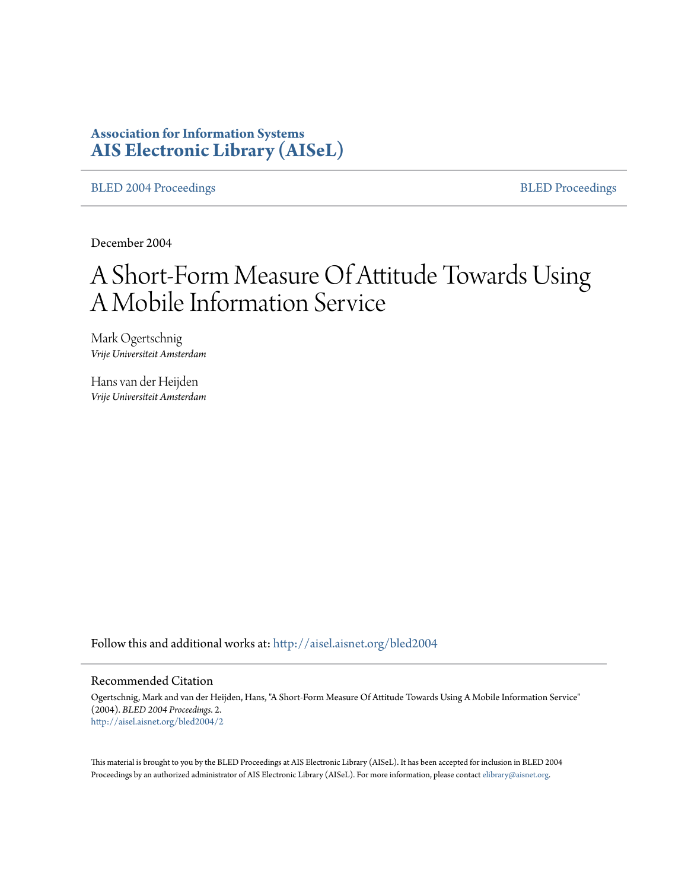# **Association for Information Systems [AIS Electronic Library \(AISeL\)](http://aisel.aisnet.org?utm_source=aisel.aisnet.org%2Fbled2004%2F2&utm_medium=PDF&utm_campaign=PDFCoverPages)**

[BLED 2004 Proceedings](http://aisel.aisnet.org/bled2004?utm_source=aisel.aisnet.org%2Fbled2004%2F2&utm_medium=PDF&utm_campaign=PDFCoverPages) **[BLED Proceedings](http://aisel.aisnet.org/bled?utm_source=aisel.aisnet.org%2Fbled2004%2F2&utm_medium=PDF&utm_campaign=PDFCoverPages)** 

December 2004

# A Short-Form Measure Of Attitude Towards Using A Mobile Information Service

Mark Ogertschnig *Vrije Universiteit Amsterdam*

Hans van der Heijden *Vrije Universiteit Amsterdam*

Follow this and additional works at: [http://aisel.aisnet.org/bled2004](http://aisel.aisnet.org/bled2004?utm_source=aisel.aisnet.org%2Fbled2004%2F2&utm_medium=PDF&utm_campaign=PDFCoverPages)

#### Recommended Citation

Ogertschnig, Mark and van der Heijden, Hans, "A Short-Form Measure Of Attitude Towards Using A Mobile Information Service" (2004). *BLED 2004 Proceedings*. 2. [http://aisel.aisnet.org/bled2004/2](http://aisel.aisnet.org/bled2004/2?utm_source=aisel.aisnet.org%2Fbled2004%2F2&utm_medium=PDF&utm_campaign=PDFCoverPages)

This material is brought to you by the BLED Proceedings at AIS Electronic Library (AISeL). It has been accepted for inclusion in BLED 2004 Proceedings by an authorized administrator of AIS Electronic Library (AISeL). For more information, please contact [elibrary@aisnet.org](mailto:elibrary@aisnet.org%3E).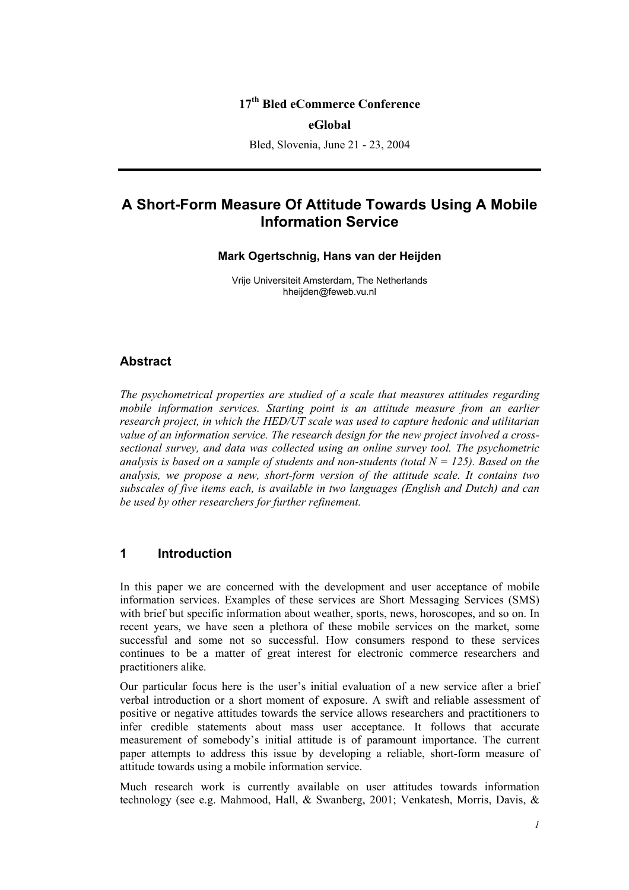# **17th Bled eCommerce Conference**

#### **eGlobal**

Bled, Slovenia, June 21 - 23, 2004

# **A Short-Form Measure Of Attitude Towards Using A Mobile Information Service**

#### **Mark Ogertschnig, Hans van der Heijden**

Vrije Universiteit Amsterdam, The Netherlands hheijden@feweb.vu.nl

#### **Abstract**

*The psychometrical properties are studied of a scale that measures attitudes regarding mobile information services. Starting point is an attitude measure from an earlier research project, in which the HED/UT scale was used to capture hedonic and utilitarian value of an information service. The research design for the new project involved a crosssectional survey, and data was collected using an online survey tool. The psychometric analysis is based on a sample of students and non-students (total*  $N = 125$ *). Based on the analysis, we propose a new, short-form version of the attitude scale. It contains two subscales of five items each, is available in two languages (English and Dutch) and can be used by other researchers for further refinement.* 

# **1 Introduction**

In this paper we are concerned with the development and user acceptance of mobile information services. Examples of these services are Short Messaging Services (SMS) with brief but specific information about weather, sports, news, horoscopes, and so on. In recent years, we have seen a plethora of these mobile services on the market, some successful and some not so successful. How consumers respond to these services continues to be a matter of great interest for electronic commerce researchers and practitioners alike.

Our particular focus here is the user's initial evaluation of a new service after a brief verbal introduction or a short moment of exposure. A swift and reliable assessment of positive or negative attitudes towards the service allows researchers and practitioners to infer credible statements about mass user acceptance. It follows that accurate measurement of somebody's initial attitude is of paramount importance. The current paper attempts to address this issue by developing a reliable, short-form measure of attitude towards using a mobile information service.

Much research work is currently available on user attitudes towards information technology (see e.g. Mahmood, Hall, & Swanberg, 2001; Venkatesh, Morris, Davis, &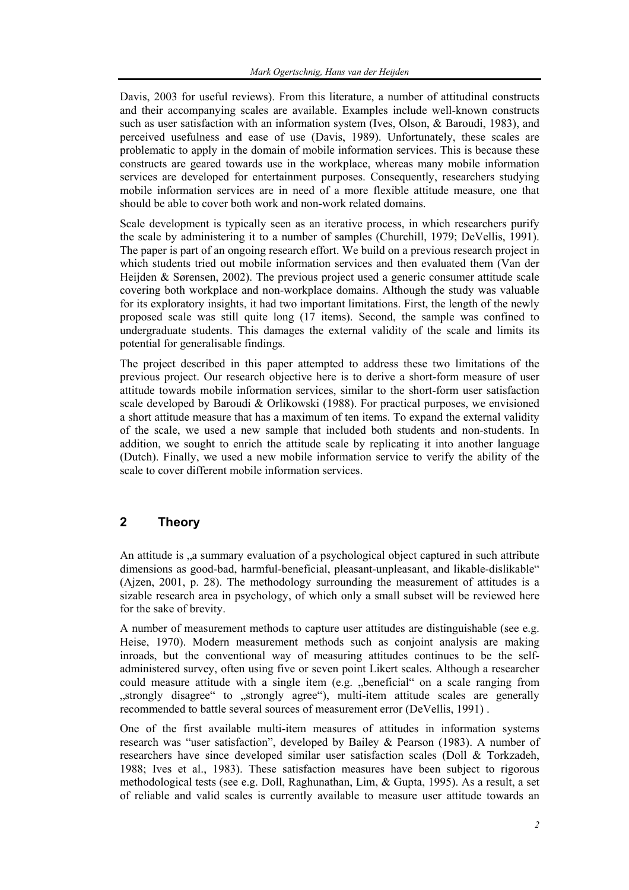Davis, 2003 for useful reviews). From this literature, a number of attitudinal constructs and their accompanying scales are available. Examples include well-known constructs such as user satisfaction with an information system (Ives, Olson, & Baroudi, 1983), and perceived usefulness and ease of use (Davis, 1989). Unfortunately, these scales are problematic to apply in the domain of mobile information services. This is because these constructs are geared towards use in the workplace, whereas many mobile information services are developed for entertainment purposes. Consequently, researchers studying mobile information services are in need of a more flexible attitude measure, one that should be able to cover both work and non-work related domains.

Scale development is typically seen as an iterative process, in which researchers purify the scale by administering it to a number of samples (Churchill, 1979; DeVellis, 1991). The paper is part of an ongoing research effort. We build on a previous research project in which students tried out mobile information services and then evaluated them (Van der Heijden & Sørensen, 2002). The previous project used a generic consumer attitude scale covering both workplace and non-workplace domains. Although the study was valuable for its exploratory insights, it had two important limitations. First, the length of the newly proposed scale was still quite long (17 items). Second, the sample was confined to undergraduate students. This damages the external validity of the scale and limits its potential for generalisable findings.

The project described in this paper attempted to address these two limitations of the previous project. Our research objective here is to derive a short-form measure of user attitude towards mobile information services, similar to the short-form user satisfaction scale developed by Baroudi & Orlikowski (1988). For practical purposes, we envisioned a short attitude measure that has a maximum of ten items. To expand the external validity of the scale, we used a new sample that included both students and non-students. In addition, we sought to enrich the attitude scale by replicating it into another language (Dutch). Finally, we used a new mobile information service to verify the ability of the scale to cover different mobile information services.

# **2 Theory**

An attitude is <sub>n</sub>a summary evaluation of a psychological object captured in such attribute dimensions as good-bad, harmful-beneficial, pleasant-unpleasant, and likable-dislikable" (Ajzen, 2001, p. 28). The methodology surrounding the measurement of attitudes is a sizable research area in psychology, of which only a small subset will be reviewed here for the sake of brevity.

A number of measurement methods to capture user attitudes are distinguishable (see e.g. Heise, 1970). Modern measurement methods such as conjoint analysis are making inroads, but the conventional way of measuring attitudes continues to be the selfadministered survey, often using five or seven point Likert scales. Although a researcher could measure attitude with a single item (e.g. "beneficial" on a scale ranging from "strongly disagree" to "strongly agree"), multi-item attitude scales are generally recommended to battle several sources of measurement error (DeVellis, 1991) .

One of the first available multi-item measures of attitudes in information systems research was "user satisfaction", developed by Bailey & Pearson (1983). A number of researchers have since developed similar user satisfaction scales (Doll & Torkzadeh, 1988; Ives et al., 1983). These satisfaction measures have been subject to rigorous methodological tests (see e.g. Doll, Raghunathan, Lim, & Gupta, 1995). As a result, a set of reliable and valid scales is currently available to measure user attitude towards an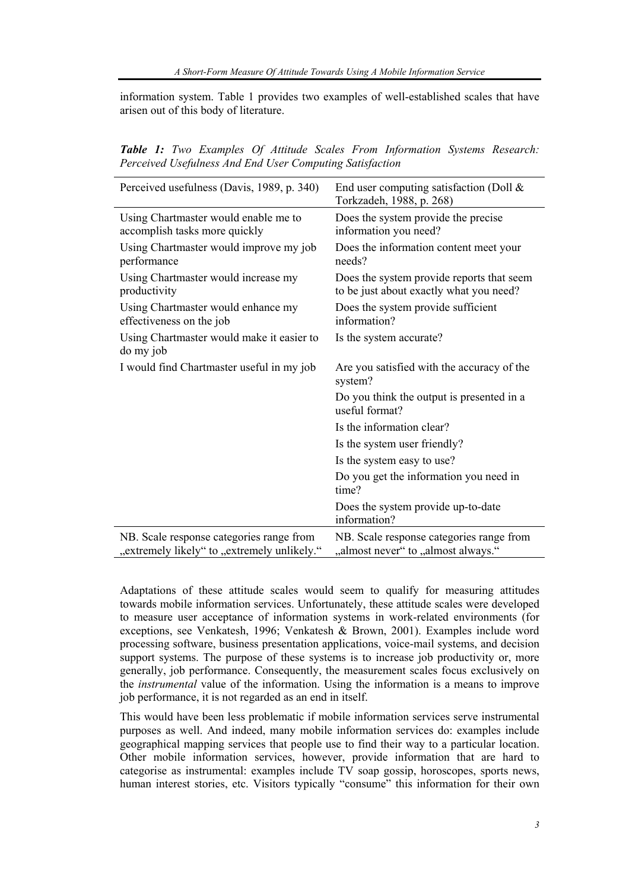information system. Table 1 provides two examples of well-established scales that have arisen out of this body of literature.

*Table 1: Two Examples Of Attitude Scales From Information Systems Research: Perceived Usefulness And End User Computing Satisfaction* 

| Perceived usefulness (Davis, 1989, p. 340)                                              | End user computing satisfaction (Doll $\&$<br>Torkzadeh, 1988, p. 268)               |
|-----------------------------------------------------------------------------------------|--------------------------------------------------------------------------------------|
| Using Chartmaster would enable me to<br>accomplish tasks more quickly                   | Does the system provide the precise<br>information you need?                         |
| Using Chartmaster would improve my job<br>performance                                   | Does the information content meet your<br>needs?                                     |
| Using Chartmaster would increase my<br>productivity                                     | Does the system provide reports that seem<br>to be just about exactly what you need? |
| Using Chartmaster would enhance my<br>effectiveness on the job                          | Does the system provide sufficient<br>information?                                   |
| Using Chartmaster would make it easier to<br>do my job                                  | Is the system accurate?                                                              |
| I would find Chartmaster useful in my job                                               | Are you satisfied with the accuracy of the<br>system?                                |
|                                                                                         | Do you think the output is presented in a<br>useful format?                          |
|                                                                                         | Is the information clear?                                                            |
|                                                                                         | Is the system user friendly?                                                         |
|                                                                                         | Is the system easy to use?                                                           |
|                                                                                         | Do you get the information you need in<br>time?                                      |
|                                                                                         | Does the system provide up-to-date<br>information?                                   |
| NB. Scale response categories range from<br>"extremely likely" to "extremely unlikely." | NB. Scale response categories range from<br>"almost never" to "almost always."       |

Adaptations of these attitude scales would seem to qualify for measuring attitudes towards mobile information services. Unfortunately, these attitude scales were developed to measure user acceptance of information systems in work-related environments (for exceptions, see Venkatesh, 1996; Venkatesh & Brown, 2001). Examples include word processing software, business presentation applications, voice-mail systems, and decision support systems. The purpose of these systems is to increase job productivity or, more generally, job performance. Consequently, the measurement scales focus exclusively on the *instrumental* value of the information. Using the information is a means to improve job performance, it is not regarded as an end in itself.

This would have been less problematic if mobile information services serve instrumental purposes as well. And indeed, many mobile information services do: examples include geographical mapping services that people use to find their way to a particular location. Other mobile information services, however, provide information that are hard to categorise as instrumental: examples include  $TV$  soap gossip, horoscopes, sports news, human interest stories, etc. Visitors typically "consume" this information for their own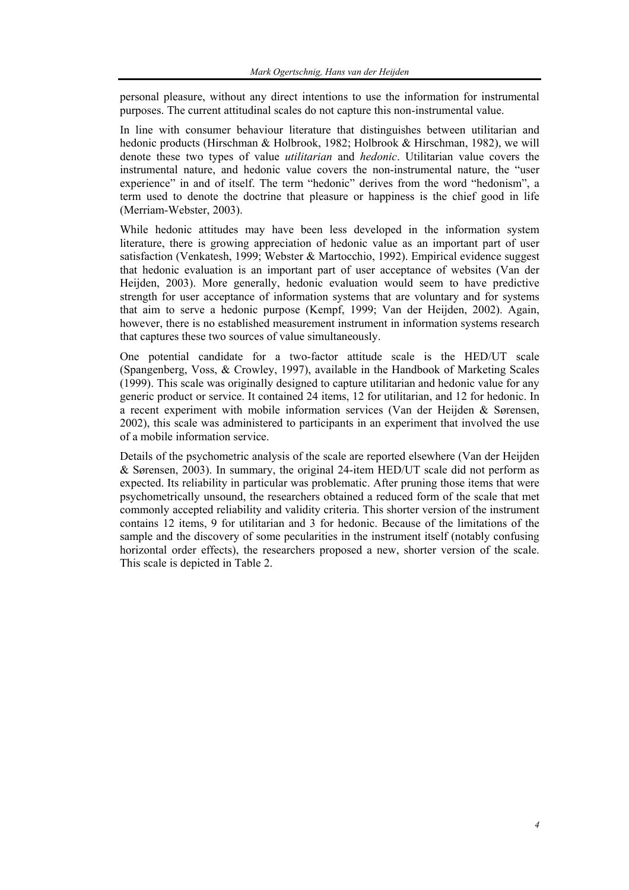personal pleasure, without any direct intentions to use the information for instrumental purposes. The current attitudinal scales do not capture this non-instrumental value.

In line with consumer behaviour literature that distinguishes between utilitarian and hedonic products (Hirschman & Holbrook, 1982; Holbrook & Hirschman, 1982), we will denote these two types of value *utilitarian* and *hedonic*. Utilitarian value covers the instrumental nature, and hedonic value covers the non-instrumental nature, the "user experience" in and of itself. The term "hedonic" derives from the word "hedonism", a term used to denote the doctrine that pleasure or happiness is the chief good in life (Merriam-Webster, 2003).

While hedonic attitudes may have been less developed in the information system literature, there is growing appreciation of hedonic value as an important part of user satisfaction (Venkatesh, 1999; Webster & Martocchio, 1992). Empirical evidence suggest that hedonic evaluation is an important part of user acceptance of websites (Van der Heijden, 2003). More generally, hedonic evaluation would seem to have predictive strength for user acceptance of information systems that are voluntary and for systems that aim to serve a hedonic purpose (Kempf, 1999; Van der Heijden, 2002). Again, however, there is no established measurement instrument in information systems research that captures these two sources of value simultaneously.

One potential candidate for a two-factor attitude scale is the HED/UT scale (Spangenberg, Voss, & Crowley, 1997), available in the Handbook of Marketing Scales (1999). This scale was originally designed to capture utilitarian and hedonic value for any generic product or service. It contained 24 items, 12 for utilitarian, and 12 for hedonic. In a recent experiment with mobile information services (Van der Heijden & Sørensen, 2002), this scale was administered to participants in an experiment that involved the use of a mobile information service.

Details of the psychometric analysis of the scale are reported elsewhere (Van der Heijden & Sørensen, 2003). In summary, the original 24-item HED/UT scale did not perform as expected. Its reliability in particular was problematic. After pruning those items that were psychometrically unsound, the researchers obtained a reduced form of the scale that met commonly accepted reliability and validity criteria. This shorter version of the instrument contains 12 items, 9 for utilitarian and 3 for hedonic. Because of the limitations of the sample and the discovery of some pecularities in the instrument itself (notably confusing horizontal order effects), the researchers proposed a new, shorter version of the scale. This scale is depicted in Table 2.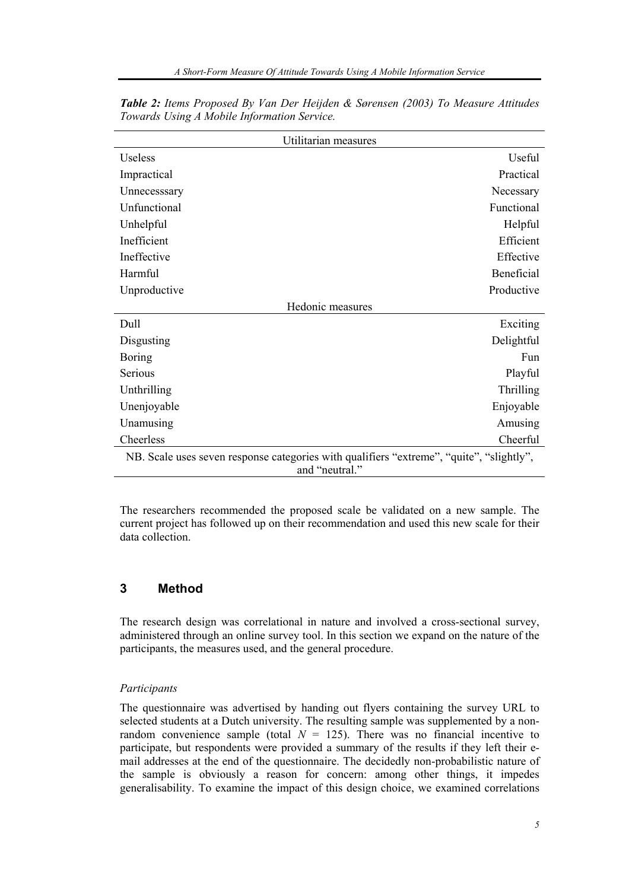| Utilitarian measures                                                                     |            |
|------------------------------------------------------------------------------------------|------------|
| Useless                                                                                  | Useful     |
| Impractical                                                                              | Practical  |
| Unnecesssary                                                                             | Necessary  |
| Unfunctional                                                                             | Functional |
| Unhelpful                                                                                | Helpful    |
| Inefficient                                                                              | Efficient  |
| Ineffective                                                                              | Effective  |
| Harmful                                                                                  | Beneficial |
| Unproductive                                                                             | Productive |
| Hedonic measures                                                                         |            |
| Dull                                                                                     | Exciting   |
| Disgusting                                                                               | Delightful |
| <b>Boring</b>                                                                            | Fun        |
| Serious                                                                                  | Playful    |
| Unthrilling                                                                              | Thrilling  |
| Unenjoyable                                                                              | Enjoyable  |
| Unamusing                                                                                | Amusing    |
| Cheerless                                                                                | Cheerful   |
| NB. Scale uses seven response categories with qualifiers "extreme", "quite", "slightly", |            |
| and "neutral."                                                                           |            |

*Table 2: Items Proposed By Van Der Heijden & Sørensen (2003) To Measure Attitudes Towards Using A Mobile Information Service.* 

The researchers recommended the proposed scale be validated on a new sample. The current project has followed up on their recommendation and used this new scale for their data collection.

# **3 Method**

The research design was correlational in nature and involved a cross-sectional survey, administered through an online survey tool. In this section we expand on the nature of the participants, the measures used, and the general procedure.

#### *Participants*

The questionnaire was advertised by handing out flyers containing the survey URL to selected students at a Dutch university. The resulting sample was supplemented by a nonrandom convenience sample (total  $N = 125$ ). There was no financial incentive to participate, but respondents were provided a summary of the results if they left their email addresses at the end of the questionnaire. The decidedly non-probabilistic nature of the sample is obviously a reason for concern: among other things, it impedes generalisability. To examine the impact of this design choice, we examined correlations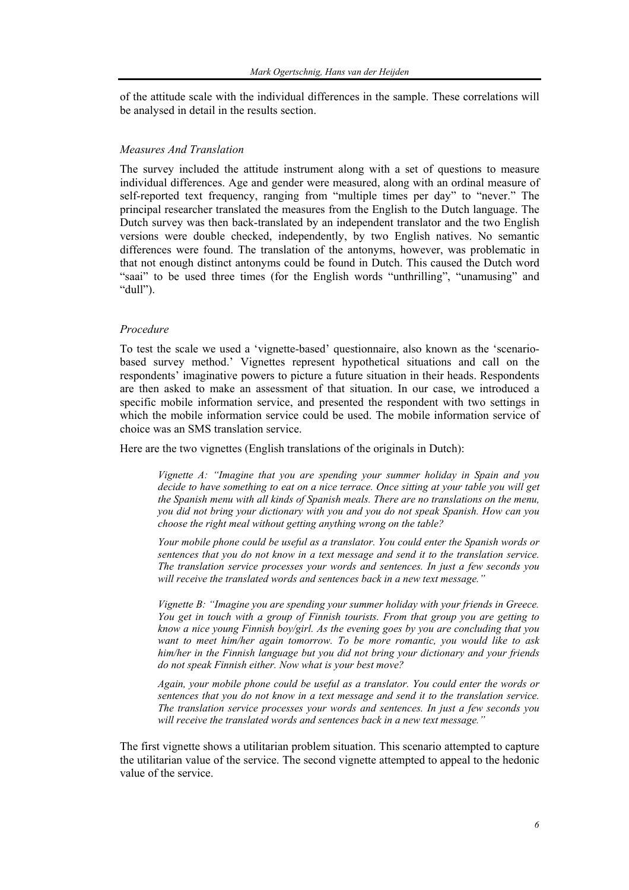of the attitude scale with the individual differences in the sample. These correlations will be analysed in detail in the results section.

#### *Measures And Translation*

The survey included the attitude instrument along with a set of questions to measure individual differences. Age and gender were measured, along with an ordinal measure of self-reported text frequency, ranging from "multiple times per day" to "never." The principal researcher translated the measures from the English to the Dutch language. The Dutch survey was then back-translated by an independent translator and the two English versions were double checked, independently, by two English natives. No semantic differences were found. The translation of the antonyms, however, was problematic in that not enough distinct antonyms could be found in Dutch. This caused the Dutch word "saai" to be used three times (for the English words "unthrilling", "unamusing" and "dull").

#### *Procedure*

To test the scale we used a 'vignette-based' questionnaire, also known as the 'scenariobased survey method.' Vignettes represent hypothetical situations and call on the respondents' imaginative powers to picture a future situation in their heads. Respondents are then asked to make an assessment of that situation. In our case, we introduced a specific mobile information service, and presented the respondent with two settings in which the mobile information service could be used. The mobile information service of choice was an SMS translation service.

Here are the two vignettes (English translations of the originals in Dutch):

*Vignette A: "Imagine that you are spending your summer holiday in Spain and you decide to have something to eat on a nice terrace. Once sitting at your table you will get the Spanish menu with all kinds of Spanish meals. There are no translations on the menu, you did not bring your dictionary with you and you do not speak Spanish. How can you choose the right meal without getting anything wrong on the table?* 

*Your mobile phone could be useful as a translator. You could enter the Spanish words or sentences that you do not know in a text message and send it to the translation service. The translation service processes your words and sentences. In just a few seconds you will receive the translated words and sentences back in a new text message."* 

*Vignette B: "Imagine you are spending your summer holiday with your friends in Greece. You get in touch with a group of Finnish tourists. From that group you are getting to know a nice young Finnish boy/girl. As the evening goes by you are concluding that you want to meet him/her again tomorrow. To be more romantic, you would like to ask him/her in the Finnish language but you did not bring your dictionary and your friends do not speak Finnish either. Now what is your best move?* 

*Again, your mobile phone could be useful as a translator. You could enter the words or sentences that you do not know in a text message and send it to the translation service. The translation service processes your words and sentences. In just a few seconds you will receive the translated words and sentences back in a new text message."*

The first vignette shows a utilitarian problem situation. This scenario attempted to capture the utilitarian value of the service. The second vignette attempted to appeal to the hedonic value of the service.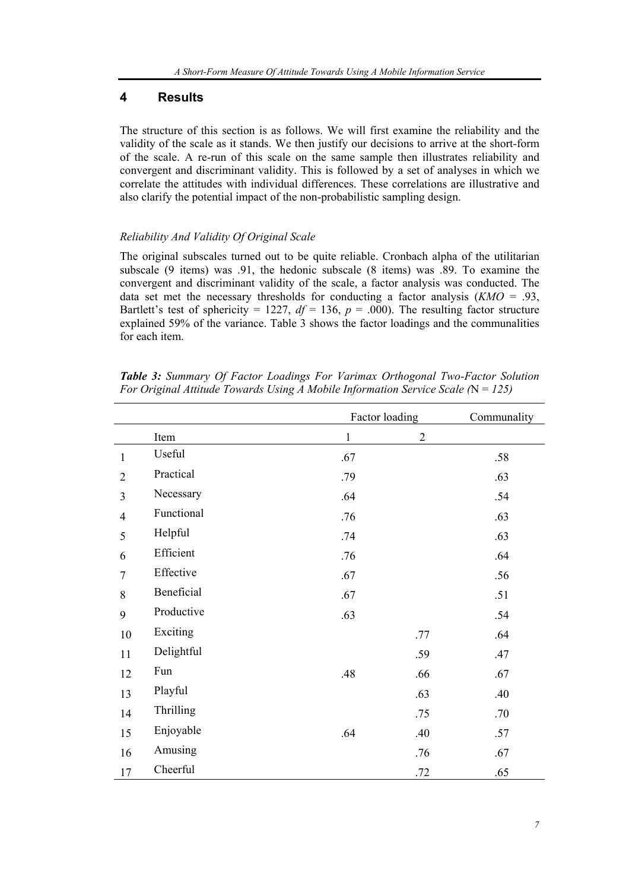# **4 Results**

The structure of this section is as follows. We will first examine the reliability and the validity of the scale as it stands. We then justify our decisions to arrive at the short-form of the scale. A re-run of this scale on the same sample then illustrates reliability and convergent and discriminant validity. This is followed by a set of analyses in which we correlate the attitudes with individual differences. These correlations are illustrative and also clarify the potential impact of the non-probabilistic sampling design.

## *Reliability And Validity Of Original Scale*

The original subscales turned out to be quite reliable. Cronbach alpha of the utilitarian subscale (9 items) was .91, the hedonic subscale (8 items) was .89. To examine the convergent and discriminant validity of the scale, a factor analysis was conducted. The data set met the necessary thresholds for conducting a factor analysis  $(KMO = .93)$ . Bartlett's test of sphericity = 1227,  $df = 136$ ,  $p = .000$ ). The resulting factor structure explained 59% of the variance. Table 3 shows the factor loadings and the communalities for each item.

|                |            | Factor loading |              | Communality |
|----------------|------------|----------------|--------------|-------------|
|                | Item       | $\mathbf{1}$   | $\mathbf{2}$ |             |
| $\mathbf{1}$   | Useful     | .67            |              | .58         |
| $\overline{2}$ | Practical  | .79            |              | .63         |
| 3              | Necessary  | .64            |              | .54         |
| $\overline{4}$ | Functional | .76            |              | .63         |
| 5              | Helpful    | .74            |              | .63         |
| 6              | Efficient  | .76            |              | .64         |
| $\overline{7}$ | Effective  | .67            |              | .56         |
| 8              | Beneficial | .67            |              | .51         |
| 9              | Productive | .63            |              | .54         |
| 10             | Exciting   |                | .77          | .64         |
| 11             | Delightful |                | .59          | .47         |
| 12             | Fun        | .48            | .66          | .67         |
| 13             | Playful    |                | .63          | .40         |
| 14             | Thrilling  |                | .75          | .70         |
| 15             | Enjoyable  | .64            | .40          | .57         |
| 16             | Amusing    |                | .76          | .67         |
| 17             | Cheerful   |                | .72          | .65         |

*Table 3: Summary Of Factor Loadings For Varimax Orthogonal Two-Factor Solution For Original Attitude Towards Using A Mobile Information Service Scale (*N = *125)*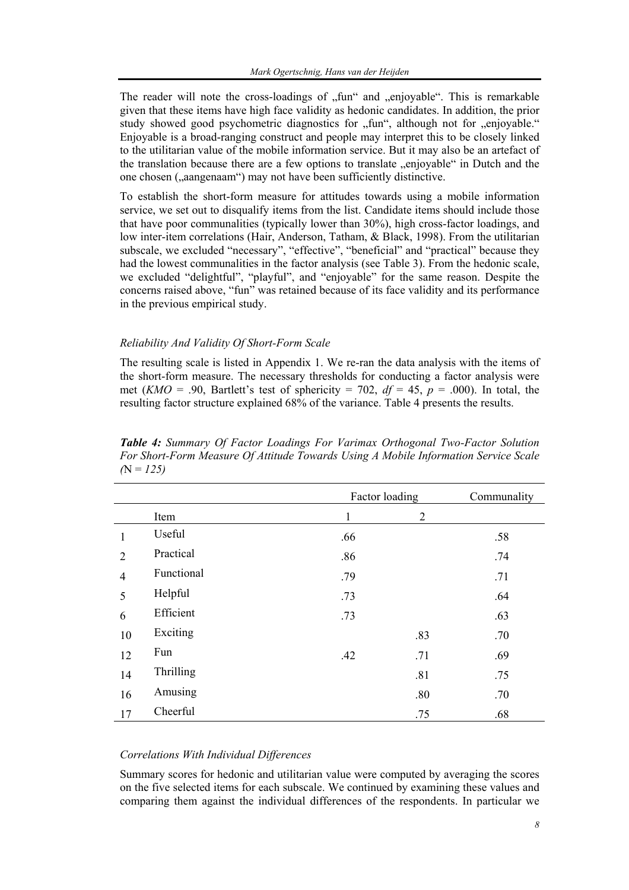The reader will note the cross-loadings of  $n$ , fun  $n$  and  $n$ , enjoyable  $n$ . This is remarkable given that these items have high face validity as hedonic candidates. In addition, the prior study showed good psychometric diagnostics for "fun", although not for "enjoyable." Enjoyable is a broad-ranging construct and people may interpret this to be closely linked to the utilitarian value of the mobile information service. But it may also be an artefact of the translation because there are a few options to translate "enjoyable" in Dutch and the one chosen ("aangenaam") may not have been sufficiently distinctive.

To establish the short-form measure for attitudes towards using a mobile information service, we set out to disqualify items from the list. Candidate items should include those that have poor communalities (typically lower than 30%), high cross-factor loadings, and low inter-item correlations (Hair, Anderson, Tatham, & Black, 1998). From the utilitarian subscale, we excluded "necessary", "effective", "beneficial" and "practical" because they had the lowest communalities in the factor analysis (see Table 3). From the hedonic scale, we excluded "delightful", "playful", and "enjoyable" for the same reason. Despite the concerns raised above, "fun" was retained because of its face validity and its performance in the previous empirical study.

#### *Reliability And Validity Of Short-Form Scale*

The resulting scale is listed in Appendix 1. We re-ran the data analysis with the items of the short-form measure. The necessary thresholds for conducting a factor analysis were met (*KMO* = .90, Bartlett's test of sphericity = 702,  $df = 45$ ,  $p = .000$ ). In total, the resulting factor structure explained 68% of the variance. Table 4 presents the results.

|                |                  |     | Factor loading | Communality |
|----------------|------------------|-----|----------------|-------------|
|                | Item             | 1   | $\overline{2}$ |             |
|                | Useful           | .66 |                | .58         |
| $\overline{2}$ | Practical        | .86 |                | .74         |
| $\overline{4}$ | Functional       | .79 |                | .71         |
| 5              | Helpful          | .73 |                | .64         |
| 6              | Efficient        | .73 |                | .63         |
| 10             | Exciting         |     | .83            | .70         |
| 12             | Fun              | .42 | .71            | .69         |
| 14             | <b>Thrilling</b> |     | .81            | .75         |
| 16             | Amusing          |     | .80            | .70         |
| 17             | Cheerful         |     | .75            | .68         |

*Table 4: Summary Of Factor Loadings For Varimax Orthogonal Two-Factor Solution For Short-Form Measure Of Attitude Towards Using A Mobile Information Service Scale*   $(N = 125)$ 

#### *Correlations With Individual Differences*

Summary scores for hedonic and utilitarian value were computed by averaging the scores on the five selected items for each subscale. We continued by examining these values and comparing them against the individual differences of the respondents. In particular we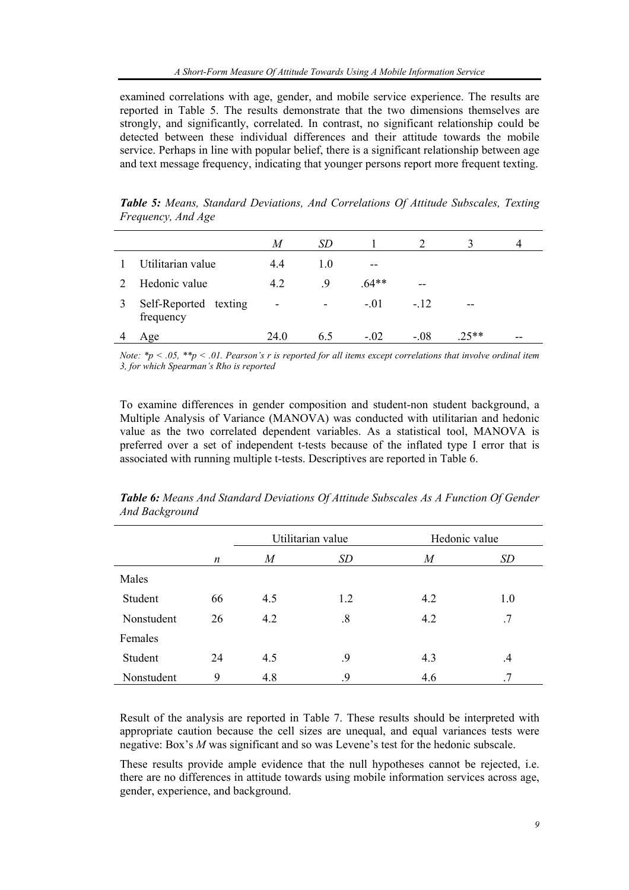examined correlations with age, gender, and mobile service experience. The results are reported in Table 5. The results demonstrate that the two dimensions themselves are strongly, and significantly, correlated. In contrast, no significant relationship could be detected between these individual differences and their attitude towards the mobile service. Perhaps in line with popular belief, there is a significant relationship between age and text message frequency, indicating that younger persons report more frequent texting.

|                                    | M    | SD  |         |        |         | 4  |
|------------------------------------|------|-----|---------|--------|---------|----|
| Utilitarian value                  | 4.4  | 1.0 | --      |        |         |    |
| Hedonic value                      | 4.2  | -9  | $.64**$ | --     |         |    |
| Self-Reported texting<br>frequency | ۰    | ۰   | $-.01$  | $-.12$ | --      |    |
| Age                                | 24.0 | 6.5 | $-.02$  | $-.08$ | $.25**$ | -- |

*Table 5: Means, Standard Deviations, And Correlations Of Attitude Subscales, Texting Frequency, And Age* 

*Note: \*p < .05, \*\*p < .01. Pearson's r is reported for all items except correlations that involve ordinal item 3, for which Spearman's Rho is reported* 

To examine differences in gender composition and student-non student background, a Multiple Analysis of Variance (MANOVA) was conducted with utilitarian and hedonic value as the two correlated dependent variables. As a statistical tool, MANOVA is preferred over a set of independent t-tests because of the inflated type I error that is associated with running multiple t-tests. Descriptives are reported in Table 6.

|            |    |     | Utilitarian value | Hedonic value    |               |
|------------|----|-----|-------------------|------------------|---------------|
|            | n  | M   | SD                | $\boldsymbol{M}$ | <i>SD</i>     |
| Males      |    |     |                   |                  |               |
| Student    | 66 | 4.5 | 1.2               | 4.2              | 1.0           |
| Nonstudent | 26 | 4.2 | $.8\,$            | 4.2              | .7            |
| Females    |    |     |                   |                  |               |
| Student    | 24 | 4.5 | .9                | 4.3              | $\mathcal{A}$ |
| Nonstudent | 9  | 4.8 | 9.                | 4.6              | .7            |

*Table 6: Means And Standard Deviations Of Attitude Subscales As A Function Of Gender And Background* 

Result of the analysis are reported in Table 7. These results should be interpreted with appropriate caution because the cell sizes are unequal, and equal variances tests were negative: Box's *M* was significant and so was Levene's test for the hedonic subscale.

These results provide ample evidence that the null hypotheses cannot be rejected, i.e. there are no differences in attitude towards using mobile information services across age, gender, experience, and background.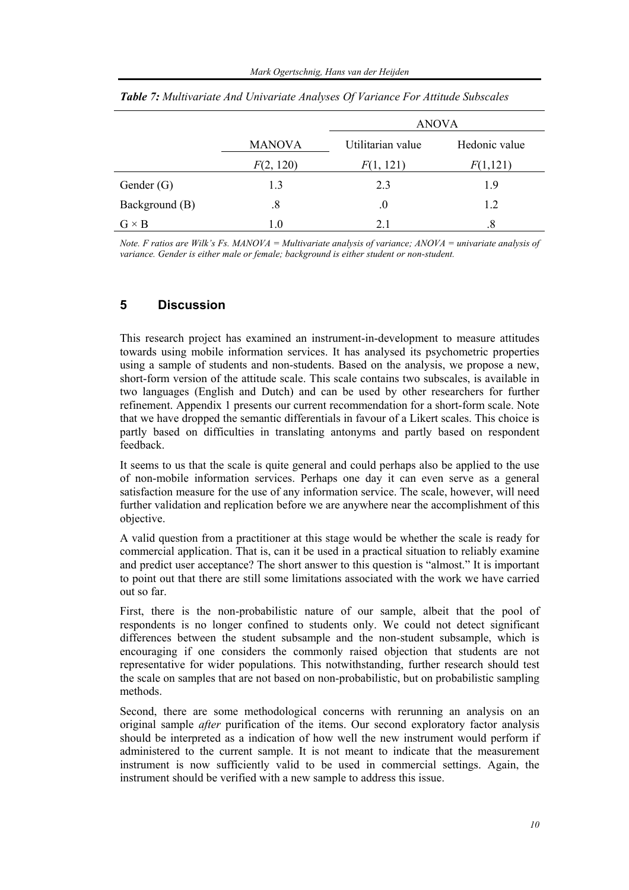|                |               | <b>ANOVA</b>      |               |  |  |
|----------------|---------------|-------------------|---------------|--|--|
|                | <b>MANOVA</b> | Utilitarian value | Hedonic value |  |  |
|                | F(2, 120)     | F(1, 121)         | F(1,121)      |  |  |
| Gender $(G)$   | 1.3           | 2.3               | 1.9           |  |  |
| Background (B) | .8            | .0                | 1.2           |  |  |
| $G \times B$   | 1.0           | 2.1               | .8            |  |  |

*Table 7: Multivariate And Univariate Analyses Of Variance For Attitude Subscales* 

*Note. F ratios are Wilk's Fs. MANOVA = Multivariate analysis of variance; ANOVA = univariate analysis of variance. Gender is either male or female; background is either student or non-student.* 

## **5 Discussion**

This research project has examined an instrument-in-development to measure attitudes towards using mobile information services. It has analysed its psychometric properties using a sample of students and non-students. Based on the analysis, we propose a new, short-form version of the attitude scale. This scale contains two subscales, is available in two languages (English and Dutch) and can be used by other researchers for further refinement. Appendix 1 presents our current recommendation for a short-form scale. Note that we have dropped the semantic differentials in favour of a Likert scales. This choice is partly based on difficulties in translating antonyms and partly based on respondent feedback.

It seems to us that the scale is quite general and could perhaps also be applied to the use of non-mobile information services. Perhaps one day it can even serve as a general satisfaction measure for the use of any information service. The scale, however, will need further validation and replication before we are anywhere near the accomplishment of this objective.

A valid question from a practitioner at this stage would be whether the scale is ready for commercial application. That is, can it be used in a practical situation to reliably examine and predict user acceptance? The short answer to this question is "almost." It is important to point out that there are still some limitations associated with the work we have carried out so far.

First, there is the non-probabilistic nature of our sample, albeit that the pool of respondents is no longer confined to students only. We could not detect significant differences between the student subsample and the non-student subsample, which is encouraging if one considers the commonly raised objection that students are not representative for wider populations. This notwithstanding, further research should test the scale on samples that are not based on non-probabilistic, but on probabilistic sampling methods.

Second, there are some methodological concerns with rerunning an analysis on an original sample *after* purification of the items. Our second exploratory factor analysis should be interpreted as a indication of how well the new instrument would perform if administered to the current sample. It is not meant to indicate that the measurement instrument is now sufficiently valid to be used in commercial settings. Again, the instrument should be verified with a new sample to address this issue.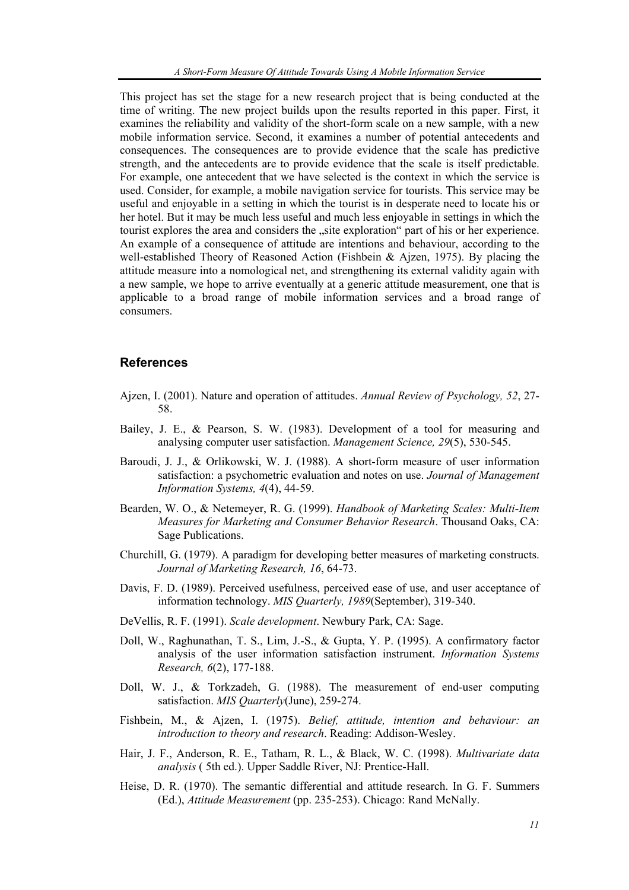This project has set the stage for a new research project that is being conducted at the time of writing. The new project builds upon the results reported in this paper. First, it examines the reliability and validity of the short-form scale on a new sample, with a new mobile information service. Second, it examines a number of potential antecedents and consequences. The consequences are to provide evidence that the scale has predictive strength, and the antecedents are to provide evidence that the scale is itself predictable. For example, one antecedent that we have selected is the context in which the service is used. Consider, for example, a mobile navigation service for tourists. This service may be useful and enjoyable in a setting in which the tourist is in desperate need to locate his or her hotel. But it may be much less useful and much less enjoyable in settings in which the tourist explores the area and considers the "site exploration" part of his or her experience. An example of a consequence of attitude are intentions and behaviour, according to the well-established Theory of Reasoned Action (Fishbein & Ajzen, 1975). By placing the attitude measure into a nomological net, and strengthening its external validity again with a new sample, we hope to arrive eventually at a generic attitude measurement, one that is applicable to a broad range of mobile information services and a broad range of consumers.

#### **References**

- Ajzen, I. (2001). Nature and operation of attitudes. *Annual Review of Psychology, 52*, 27- 58.
- Bailey, J. E., & Pearson, S. W. (1983). Development of a tool for measuring and analysing computer user satisfaction. *Management Science, 29*(5), 530-545.
- Baroudi, J. J., & Orlikowski, W. J. (1988). A short-form measure of user information satisfaction: a psychometric evaluation and notes on use. *Journal of Management Information Systems, 4*(4), 44-59.
- Bearden, W. O., & Netemeyer, R. G. (1999). *Handbook of Marketing Scales: Multi-Item Measures for Marketing and Consumer Behavior Research*. Thousand Oaks, CA: Sage Publications.
- Churchill, G. (1979). A paradigm for developing better measures of marketing constructs. *Journal of Marketing Research, 16*, 64-73.
- Davis, F. D. (1989). Perceived usefulness, perceived ease of use, and user acceptance of information technology. *MIS Quarterly, 1989*(September), 319-340.
- DeVellis, R. F. (1991). *Scale development*. Newbury Park, CA: Sage.
- Doll, W., Raghunathan, T. S., Lim, J.-S., & Gupta, Y. P. (1995). A confirmatory factor analysis of the user information satisfaction instrument. *Information Systems Research, 6*(2), 177-188.
- Doll, W. J., & Torkzadeh, G. (1988). The measurement of end-user computing satisfaction. *MIS Quarterly*(June), 259-274.
- Fishbein, M., & Ajzen, I. (1975). *Belief, attitude, intention and behaviour: an introduction to theory and research*. Reading: Addison-Wesley.
- Hair, J. F., Anderson, R. E., Tatham, R. L., & Black, W. C. (1998). *Multivariate data analysis* ( 5th ed.). Upper Saddle River, NJ: Prentice-Hall.
- Heise, D. R. (1970). The semantic differential and attitude research. In G. F. Summers (Ed.), *Attitude Measurement* (pp. 235-253). Chicago: Rand McNally.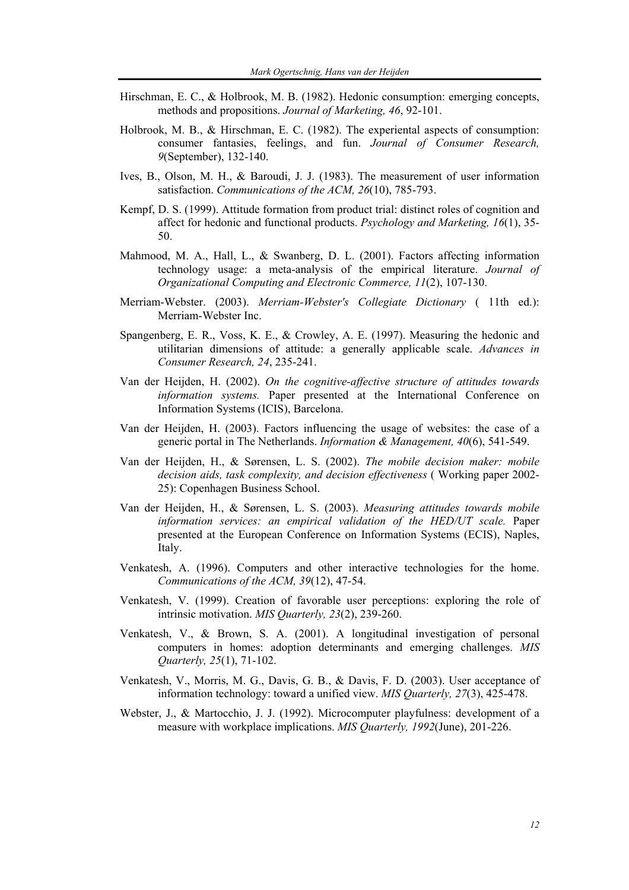- Hirschman, E. C., & Holbrook, M. B. (1982). Hedonic consumption: emerging concepts, methods and propositions. *Journal of Marketing, 46*, 92-101.
- Holbrook, M. B., & Hirschman, E. C. (1982). The experiental aspects of consumption: consumer fantasies, feelings, and fun. *Journal of Consumer Research, 9*(September), 132-140.
- Ives, B., Olson, M. H., & Baroudi, J. J. (1983). The measurement of user information satisfaction. *Communications of the ACM, 26*(10), 785-793.
- Kempf, D. S. (1999). Attitude formation from product trial: distinct roles of cognition and affect for hedonic and functional products. *Psychology and Marketing, 16*(1), 35- 50.
- Mahmood, M. A., Hall, L., & Swanberg, D. L. (2001). Factors affecting information technology usage: a meta-analysis of the empirical literature. *Journal of Organizational Computing and Electronic Commerce, 11*(2), 107-130.
- Merriam-Webster. (2003). *Merriam-Webster's Collegiate Dictionary* ( 11th ed.): Merriam-Webster Inc.
- Spangenberg, E. R., Voss, K. E., & Crowley, A. E. (1997). Measuring the hedonic and utilitarian dimensions of attitude: a generally applicable scale. *Advances in Consumer Research, 24*, 235-241.
- Van der Heijden, H. (2002). *On the cognitive-affective structure of attitudes towards information systems.* Paper presented at the International Conference on Information Systems (ICIS), Barcelona.
- Van der Heijden, H. (2003). Factors influencing the usage of websites: the case of a generic portal in The Netherlands. *Information & Management, 40*(6), 541-549.
- Van der Heijden, H., & Sørensen, L. S. (2002). *The mobile decision maker: mobile decision aids, task complexity, and decision effectiveness* ( Working paper 2002- 25): Copenhagen Business School.
- Van der Heijden, H., & Sørensen, L. S. (2003). *Measuring attitudes towards mobile information services: an empirical validation of the HED/UT scale.* Paper presented at the European Conference on Information Systems (ECIS), Naples, Italy.
- Venkatesh, A. (1996). Computers and other interactive technologies for the home. *Communications of the ACM, 39*(12), 47-54.
- Venkatesh, V. (1999). Creation of favorable user perceptions: exploring the role of intrinsic motivation. *MIS Quarterly, 23*(2), 239-260.
- Venkatesh, V., & Brown, S. A. (2001). A longitudinal investigation of personal computers in homes: adoption determinants and emerging challenges. *MIS Quarterly, 25*(1), 71-102.
- Venkatesh, V., Morris, M. G., Davis, G. B., & Davis, F. D. (2003). User acceptance of information technology: toward a unified view. *MIS Quarterly, 27*(3), 425-478.
- Webster, J., & Martocchio, J. J. (1992). Microcomputer playfulness: development of a measure with workplace implications. *MIS Quarterly, 1992*(June), 201-226.